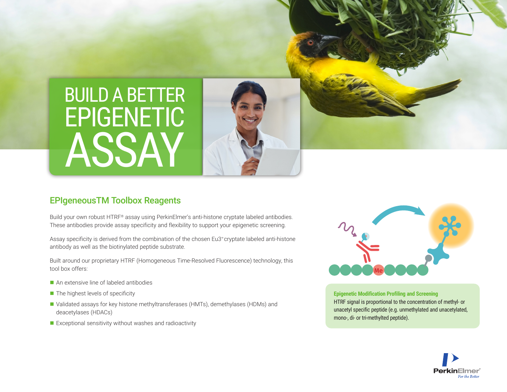



# EPIgeneousTM Toolbox Reagents

Build your own robust HTRF® assay using PerkinElmer's anti-histone cryptate labeled antibodies. These antibodies provide assay specificity and flexibility to support your epigenetic screening.

Assay specificity is derived from the combination of the chosen Eu3+cryptate labeled anti-histone antibody as well as the biotinylated peptide substrate.

Built around our proprietary HTRF (Homogeneous Time-Resolved Fluorescence) technology, this tool box offers:

- An extensive line of labeled antibodies
- $\blacksquare$  The highest levels of specificity
- Validated assays for key histone methyltransferases (HMTs), demethylases (HDMs) and deacetylases (HDACs)
- $\blacksquare$  Exceptional sensitivity without washes and radioactivity



**Epigenetic Modification Profiling and Screening** HTRF signal is proportional to the concentration of methyl- or unacetyl specific peptide (e.g. unmethylated and unacetylated, mono-, di- or tri-methylted peptide).